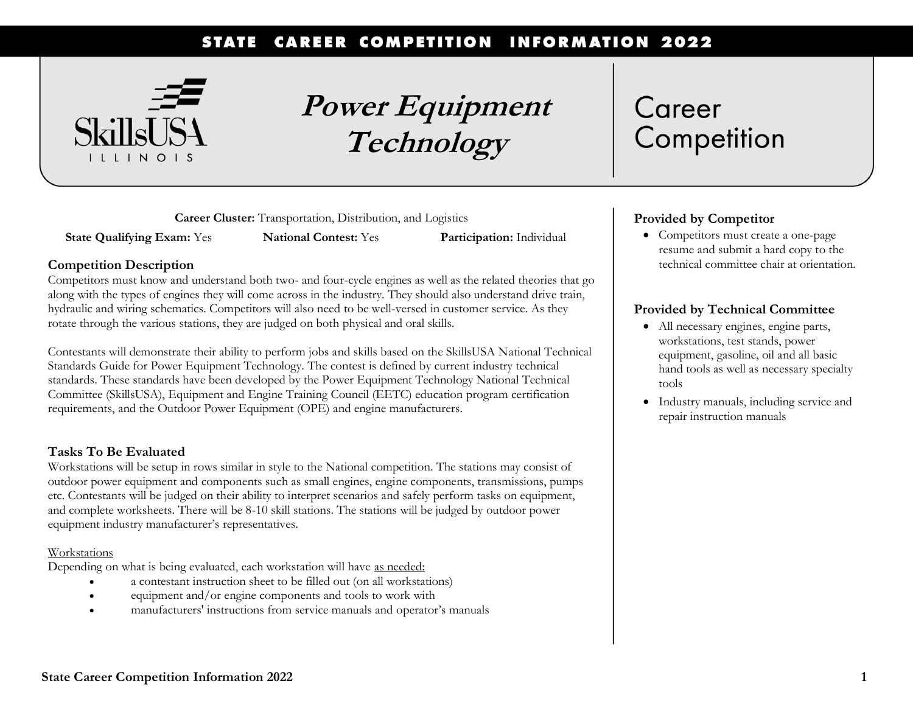#### **CAREER COMPETITION INFORMATION 2022 STATE**



**Power Equipment Technology**

**Career Cluster:** Transportation, Distribution, and Logistics

**State Qualifying Exam:** Yes **National Contest:** Yes **Participation:** Individual

## **Competition Description**

Competitors must know and understand both two- and four-cycle engines as well as the related theories that go along with the types of engines they will come across in the industry. They should also understand drive train, hydraulic and wiring schematics. Competitors will also need to be well-versed in customer service. As they rotate through the various stations, they are judged on both physical and oral skills.

Contestants will demonstrate their ability to perform jobs and skills based on the SkillsUSA National Technical Standards Guide for Power Equipment Technology. The contest is defined by current industry technical standards. These standards have been developed by the Power Equipment Technology National Technical Committee (SkillsUSA), Equipment and Engine Training Council (EETC) education program certification requirements, and the Outdoor Power Equipment (OPE) and engine manufacturers.

## **Tasks To Be Evaluated**

Workstations will be setup in rows similar in style to the National competition. The stations may consist of outdoor power equipment and components such as small engines, engine components, transmissions, pumps etc. Contestants will be judged on their ability to interpret scenarios and safely perform tasks on equipment, and complete worksheets. There will be 8-10 skill stations. The stations will be judged by outdoor power equipment industry manufacturer's representatives*.*

### Workstations

Depending on what is being evaluated, each workstation will have as needed:

- a contestant instruction sheet to be filled out (on all workstations)
- equipment and/or engine components and tools to work with
- manufacturers' instructions from service manuals and operator's manuals

# Career Competition

# **Provided by Competitor**

• Competitors must create a one-page resume and submit a hard copy to the technical committee chair at orientation.

# **Provided by Technical Committee**

- All necessary engines, engine parts, workstations, test stands, power equipment, gasoline, oil and all basic hand tools as well as necessary specialty tools
- Industry manuals, including service and repair instruction manuals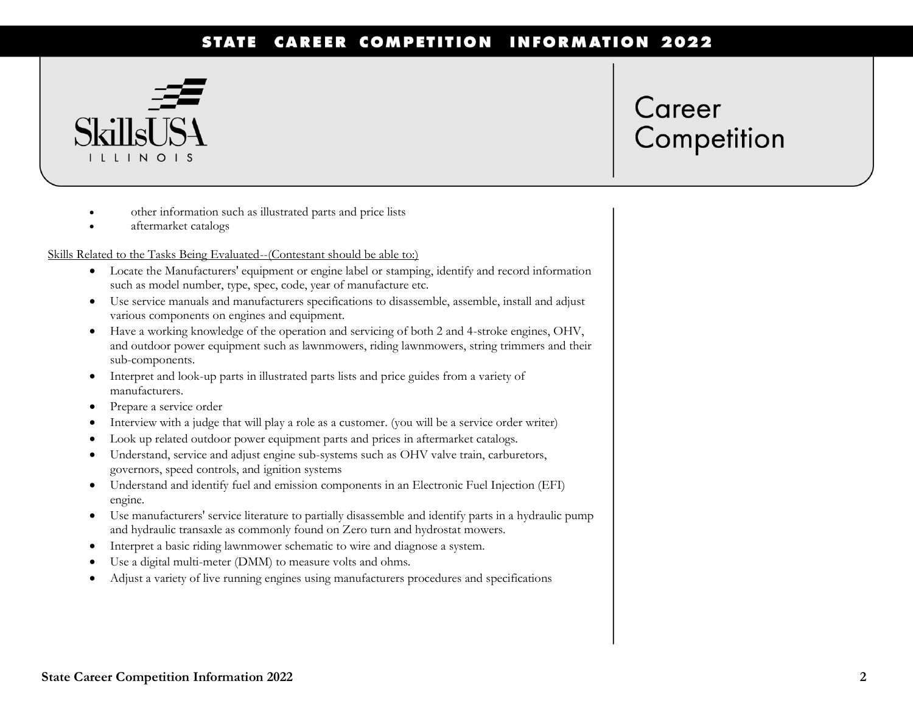#### **CAREER COMPETITION INFORMATION 2022 STATE**



# Career Competition

- other information such as illustrated parts and price lists
- aftermarket catalogs

### Skills Related to the Tasks Being Evaluated--(Contestant should be able to:)

- Locate the Manufacturers' equipment or engine label or stamping, identify and record information such as model number, type, spec, code, year of manufacture etc.
- Use service manuals and manufacturers specifications to disassemble, assemble, install and adjust various components on engines and equipment.
- Have a working knowledge of the operation and servicing of both 2 and 4-stroke engines, OHV, and outdoor power equipment such as lawnmowers, riding lawnmowers, string trimmers and their sub-components.
- Interpret and look-up parts in illustrated parts lists and price guides from a variety of manufacturers.
- Prepare a service order
- Interview with a judge that will play a role as a customer. (you will be a service order writer)
- Look up related outdoor power equipment parts and prices in aftermarket catalogs.
- Understand, service and adjust engine sub-systems such as OHV valve train, carburetors, governors, speed controls, and ignition systems
- Understand and identify fuel and emission components in an Electronic Fuel Injection (EFI) engine.
- Use manufacturers' service literature to partially disassemble and identify parts in a hydraulic pump and hydraulic transaxle as commonly found on Zero turn and hydrostat mowers.
- Interpret a basic riding lawnmower schematic to wire and diagnose a system.
- Use a digital multi-meter (DMM) to measure volts and ohms.
- Adjust a variety of live running engines using manufacturers procedures and specifications